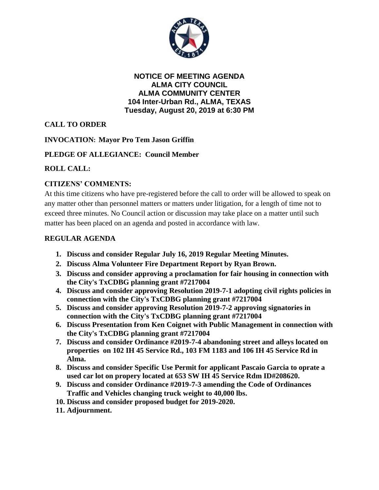

**NOTICE OF MEETING AGENDA ALMA CITY COUNCIL ALMA COMMUNITY CENTER 104 Inter-Urban Rd., ALMA, TEXAS Tuesday, August 20, 2019 at 6:30 PM**

# **CALL TO ORDER**

## **INVOCATION: Mayor Pro Tem Jason Griffin**

### **PLEDGE OF ALLEGIANCE: Council Member**

### **ROLL CALL:**

## **CITIZENS' COMMENTS:**

At this time citizens who have pre-registered before the call to order will be allowed to speak on any matter other than personnel matters or matters under litigation, for a length of time not to exceed three minutes. No Council action or discussion may take place on a matter until such matter has been placed on an agenda and posted in accordance with law.

#### **REGULAR AGENDA**

- **1. Discuss and consider Regular July 16, 2019 Regular Meeting Minutes.**
- **2. Discuss Alma Volunteer Fire Department Report by Ryan Brown.**
- **3. Discuss and consider approving a proclamation for fair housing in connection with the City's TxCDBG planning grant #7217004**
- **4. Discuss and consider approving Resolution 2019-7-1 adopting civil rights policies in connection with the City's TxCDBG planning grant #7217004**
- **5. Discuss and consider approving Resolution 2019-7-2 approving signatories in connection with the City's TxCDBG planning grant #7217004**
- **6. Discuss Presentation from Ken Coignet with Public Management in connection with the City's TxCDBG planning grant #7217004**
- **7. Discuss and consider Ordinance #2019-7-4 abandoning street and alleys located on properties on 102 IH 45 Service Rd., 103 FM 1183 and 106 IH 45 Service Rd in Alma.**
- **8. Discuss and consider Specific Use Permit for applicant Pascaio Garcia to oprate a used car lot on propery located at 653 SW IH 45 Service Rdm ID#208620.**
- **9. Discuss and consider Ordinance #2019-7-3 amending the Code of Ordinances Traffic and Vehicles changing truck weight to 40,000 lbs.**
- **10. Discuss and consider proposed budget for 2019-2020.**
- **11. Adjournment.**